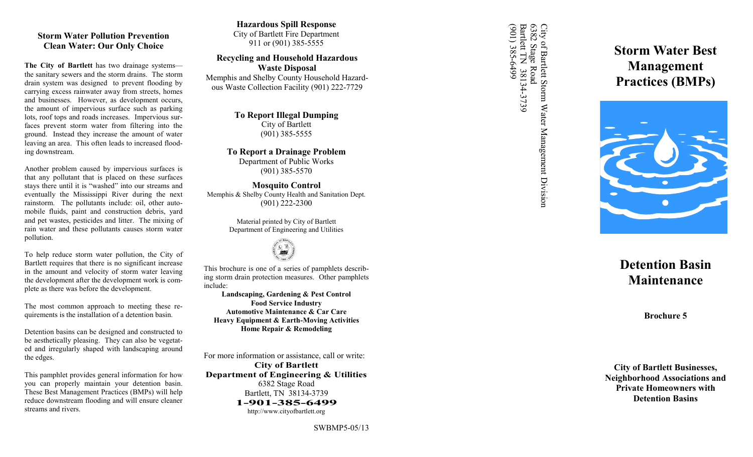#### **Storm Water Pollution Prevention Clean Water: Our Only Choice**

**The City of Bartlett** has two drainage systems the sanitary sewers and the storm drains. The storm drain system was designed to prevent flooding by carrying excess rainwater away from streets, homes and businesses. However, as development occurs, the amount of impervious surface such as parking lots, roof tops and roads increases. Impervious surfaces prevent storm water from filtering into the ground. Instead they increase the amount of water leaving an area. This often leads to increased flooding downstream.

Another problem caused by impervious surfaces is that any pollutant that is placed on these surfaces stays there until it is "washed" into our streams and eventually the Mississippi River during the next rainstorm. The pollutants include: oil, other automobile fluids, paint and construction debris, yard and pet wastes, pesticides and litter. The mixing of rain water and these pollutants causes storm water pollution.

To help reduce storm water pollution, the City of Bartlett requires that there is no significant increase in the amount and velocity of storm water leaving the development after the development work is complete as there was before the development.

The most common approach to meeting these requirements is the installation of a detention basin.

Detention basins can be designed and constructed to be aesthetically pleasing. They can also be vegetated and irregularly shaped with landscaping around the edges.

This pamphlet provides general information for how you can properly maintain your detention basin. These Best Management Practices (BMPs) will help reduce downstream flooding and will ensure cleaner streams and rivers.

**Hazardous Spill Response** City of Bartlett Fire Department 911 or (901) 385 -5555

**Recycling and Household Hazardous Waste Disposal** Memphis and Shelby County Household Hazardous Waste Collection Facility (901) 222-7729

> **To Report Illegal Dumping** City of Bartlett (901) 385 -5555

**To Report a Drainage Problem** Department of Public Works (901) 385 -5570

**Mosquito Control** Memphis & Shelby County Health and Sanitation Dept. (901) 222 -2300

> Material printed by City of Bartlett Department of Engineering and Utilities



This brochure is one of a series of pamphlets describing storm drain protection measures. Other pamphlets include:

**Landscaping, Gardening & Pest Control Food Service Industry Automotive Maintenance & Car Care Heavy Equipment & Earth -Moving Activities Home Repair & Remodeling** 

For more information or assistance, call or write: **City of Bartlett Department of Engineering & Utilities** 6382 Stage Road Bartlett, TN 38134 -3739 **1 -901 -385 -6499** http://www.cityofbartlett.org

City of Bartlett Storm Water Management Division<br>6382 Stage Road<br>Bartlett TN 38134-3739<br>(901) 385-6499 (901) 385-6499 Bartlett TN 38134 City of Bartlett Storm Water Management Division<br>6382 Stage Road<br>Bartlett TN 38134-3739 6382 Stage Road

**Storm Water Best Management Practices (BMPs)**



# **Detention Basin Maintenance**

**Brochure 5**

**City of Bartlett Businesses, Neighborhood Associations and Private Homeowners with Detention Basins**